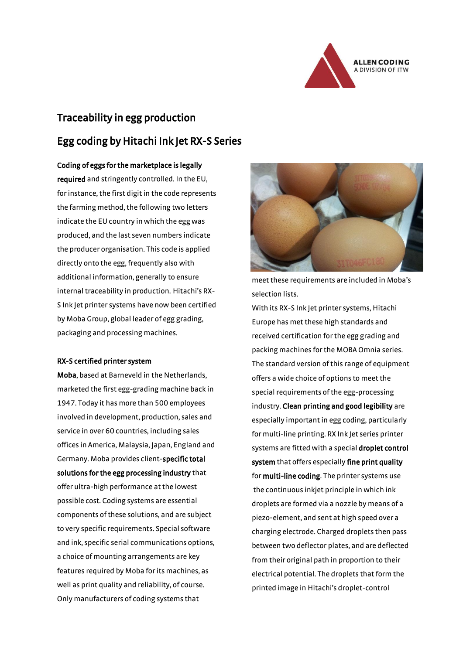

# Traceability in egg production Egg coding by Hitachi Ink Jet RX-S Series

Coding of eggs for the marketplace is legally

required and stringently controlled. In the EU, for instance, the first digit in the code represents the farming method, the following two letters indicate the EU country in which the egg was produced, and the last seven numbers indicate the producer organisation. This code is applied directly onto the egg, frequently also with additional information, generally to ensure internal traceability in production. Hitachi's RX-S Ink Jet printer systems have now been certified by Moba Group, global leader of egg grading, packaging and processing machines.

### RX-S certified printer system

Moba, based at Barneveld in the Netherlands, marketed the first egg-grading machine back in 1947. Today it has more than 500 employees involved in development, production, sales and service in over 60 countries, including sales offices in America, Malaysia, Japan, England and Germany. Moba provides client-specific total solutions for the egg processing industry that offer ultra-high performance at the lowest possible cost. Coding systems are essential components of these solutions, and are subject to very specific requirements. Special software and ink, specific serial communications options, a choice of mounting arrangements are key features required by Moba for its machines, as well as print quality and reliability, of course. Only manufacturers of coding systems that



meet these requirements are included in Moba's selection lists.

With its RX-S Ink Jet printer systems, Hitachi Europe has met these high standards and received certification for the egg grading and packing machines for the MOBA Omnia series. The standard version of this range of equipment offers a wide choice of options to meet the special requirements of the egg-processing industry. Clean printing and good legibility are especially important in egg coding, particularly for multi-line printing. RX Ink Jet series printer systems are fitted with a special droplet control system that offers especially fine print quality for multi-line coding. The printer systems use the continuous inkjet principle in which ink droplets are formed via a nozzle by means of a piezo-element, and sent at high speed over a charging electrode. Charged droplets then pass between two deflector plates, and are deflected from their original path in proportion to their electrical potential. The droplets that form the printed image in Hitachi's droplet-control